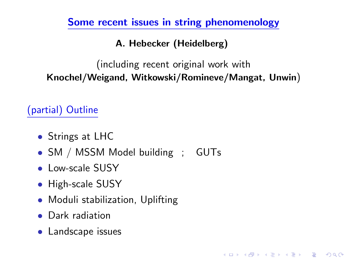Some recent issues in string phenomenology

A. Hebecker (Heidelberg)

(including recent original work with Knochel/Weigand, Witkowski/Romineve/Mangat, Unwin)

**KORK ERKER ADE YOUR** 

(partial) Outline

- Strings at LHC
- SM / MSSM Model building ; GUTs
- Low-scale SUSY
- High-scale SUSY
- Moduli stabilization, Uplifting
- Dark radiation
- <span id="page-0-0"></span>• Landscape issues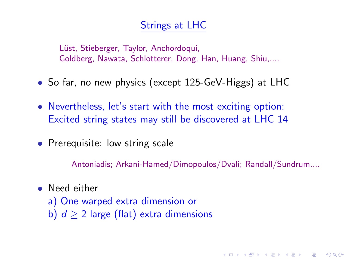### Strings at LHC

Lüst, Stieberger, Taylor, Anchordoqui, Goldberg, Nawata, Schlotterer, Dong, Han, Huang, Shiu,....

- So far, no new physics (except 125-GeV-Higgs) at LHC
- Nevertheless, let's start with the most exciting option: Excited string states may still be discovered at LHC 14
- Prerequisite: low string scale

Antoniadis; Arkani-Hamed/Dimopoulos/Dvali; Randall/Sundrum....

**KORKAR KERKER E VOOR** 

- Need either
	- a) One warped extra dimension or b)  $d > 2$  large (flat) extra dimensions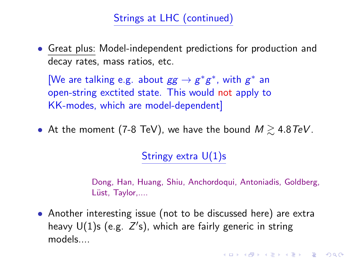# Strings at LHC (continued)

• Great plus: Model-independent predictions for production and decay rates, mass ratios, etc.

[We are talking e.g. about  $gg \to g^*g^*$ , with  $g^*$  an open-string exctited state. This would not apply to KK-modes, which are model-dependent]

• At the moment (7-8 TeV), we have the bound  $M \geq 4.8 \text{ TeV}$ .

Stringy extra  $U(1)$ s

Dong, Han, Huang, Shiu, Anchordoqui, Antoniadis, Goldberg, Lüst, Taylor,....

• Another interesting issue (not to be discussed here) are extra heavy  $U(1)$ s (e.g.  $Z's$ ), which are fairly generic in string models....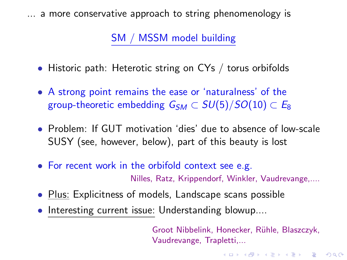... a more conservative approach to string phenomenology is

SM / MSSM model building

- Historic path: Heterotic string on CYs / torus orbifolds
- A strong point remains the ease or 'naturalness' of the group-theoretic embedding  $G_{SM} \subset SU(5)/SO(10) \subset E_8$
- Problem: If GUT motivation 'dies' due to absence of low-scale SUSY (see, however, below), part of this beauty is lost
- For recent work in the orbifold context see e.g. Nilles, Ratz, Krippendorf, Winkler, Vaudrevange,....
- Plus: Explicitness of models, Landscape scans possible
- Interesting current issue: Understanding blowup....

Groot Nibbelink, Honecker, Rühle, Blaszczyk, Vaudrevange, Trapletti,...

**KORKAR KERKER EL VOLO**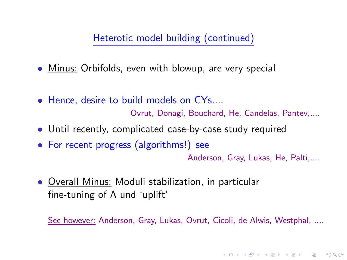Heterotic model building (continued)

- Minus: Orbifolds, even with blowup, are very special
- Hence, desire to build models on CYs....

Ovrut, Donagi, Bouchard, He, Candelas, Pantev,....

- Until recently, complicated case-by-case study required
- For recent progress (algorithms!) see

Anderson, Gray, Lukas, He, Palti,....

**KORKAR KERKER E VOOR** 

• Overall Minus: Moduli stabilization, in particular fine-tuning of Λ und 'uplift'

See however: Anderson, Gray, Lukas, Ovrut, Cicoli, de Alwis, Westphal, ....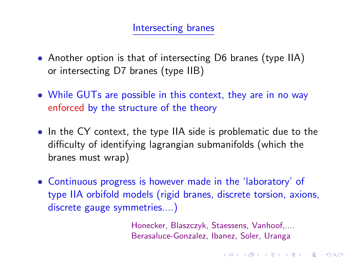#### Intersecting branes

- Another option is that of intersecting D6 branes (type IIA) or intersecting D7 branes (type IIB)
- While GUTs are possible in this context, they are in no way enforced by the structure of the theory
- In the CY context, the type IIA side is problematic due to the difficulty of identifying lagrangian submanifolds (which the branes must wrap)
- Continuous progress is however made in the 'laboratory' of type IIA orbifold models (rigid branes, discrete torsion, axions, discrete gauge symmetries....)

Honecker, Blaszczyk, Staessens, Vanhoof,.... Berasaluce-Gonzalez, Ibanez, Soler, Uranga

**K ロ ▶ K @ ▶ K 할 X X 할 X 및 할 X X Q Q O**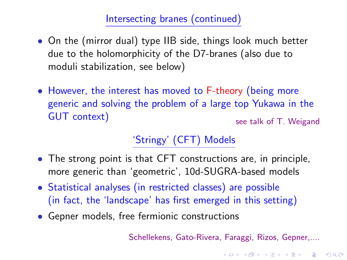## Intersecting branes (continued)

- On the (mirror dual) type IIB side, things look much better due to the holomorphicity of the D7-branes (also due to moduli stabilization, see below)
- However, the interest has moved to F-theory (being more generic and solving the problem of a large top Yukawa in the GUT context) see talk of T. Weigand

# 'Stringy' (CFT) Models

- The strong point is that CFT constructions are, in principle, more generic than 'geometric', 10d-SUGRA-based models
- Statistical analyses (in restricted classes) are possible (in fact, the 'landscape' has first emerged in this setting)
- Gepner models, free fermionic constructions

Schellekens, Gato-Rivera, Faraggi, Rizos, Gepner,....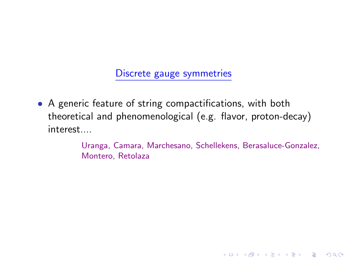Discrete gauge symmetries

• A generic feature of string compactifications, with both theoretical and phenomenological (e.g. flavor, proton-decay) interest....

> Uranga, Camara, Marchesano, Schellekens, Berasaluce-Gonzalez, Montero, Retolaza

> > **KORK STRATER STRAKER**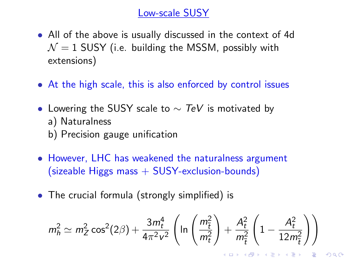#### Low-scale SUSY

- All of the above is usually discussed in the context of 4d  $\mathcal{N}=1$  SUSY (i.e. building the MSSM, possibly with extensions)
- At the high scale, this is also enforced by control issues
- Lowering the SUSY scale to  $\sim$  TeV is motivated by
	- a) Naturalness
	- b) Precision gauge unification
- However, LHC has weakened the naturalness argument  $(sizeable Higgs mass + SUSY-exclusion-bounds)$
- The crucial formula (strongly simplified) is

$$
m_h^2 \simeq m_Z^2 \cos^2(2\beta) + \frac{3m_t^4}{4\pi^2 \nu^2} \left( \ln \left( \frac{m_{\tilde{t}}^2}{m_t^2} \right) + \frac{A_t^2}{m_{\tilde{t}}^2} \left( 1 - \frac{A_t^2}{12m_{\tilde{t}}^2} \right) \right)
$$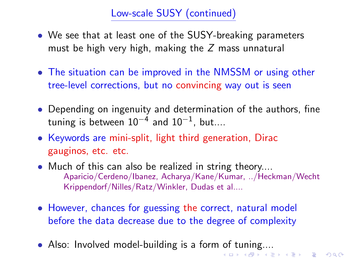# Low-scale SUSY (continued)

- We see that at least one of the SUSY-breaking parameters must be high very high, making the  $Z$  mass unnatural
- The situation can be improved in the NMSSM or using other tree-level corrections, but no convincing way out is seen
- Depending on ingenuity and determination of the authors, fine tuning is between  $10^{-4}$  and  $10^{-1}$ , but....
- Keywords are mini-split, light third generation, Dirac gauginos, etc. etc.
- Much of this can also be realized in string theory.... Aparicio/Cerdeno/Ibanez, Acharya/Kane/Kumar, ../Heckman/Wecht Krippendorf/Nilles/Ratz/Winkler, Dudas et al....
- However, chances for guessing the correct, natural model before the data decrease due to the degree of complexity
- Also: Involved model-building is a form of tuning....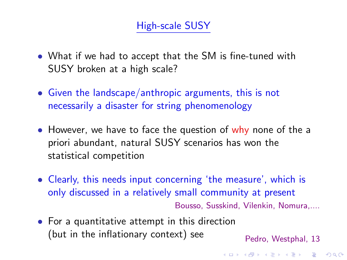## High-scale SUSY

- What if we had to accept that the SM is fine-tuned with SUSY broken at a high scale?
- Given the landscape/anthropic arguments, this is not necessarily a disaster for string phenomenology
- However, we have to face the question of why none of the a priori abundant, natural SUSY scenarios has won the statistical competition
- Clearly, this needs input concerning 'the measure', which is only discussed in a relatively small community at present Bousso, Susskind, Vilenkin, Nomura,....
- For a quantitative attempt in this direction (but in the inflationary context) see  $Pedro, Westphal, 13$

**KORKAR KERKER E VOOR**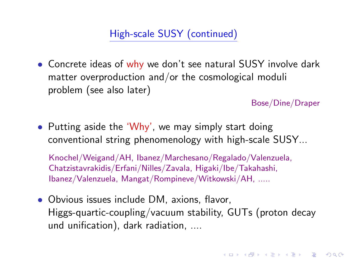High-scale SUSY (continued)

• Concrete ideas of why we don't see natural SUSY involve dark matter overproduction and/or the cosmological moduli problem (see also later)

Bose/Dine/Draper

**KORKAR KERKER E VOOR** 

• Putting aside the 'Why', we may simply start doing conventional string phenomenology with high-scale SUSY...

Knochel/Weigand/AH, Ibanez/Marchesano/Regalado/Valenzuela, Chatzistavrakidis/Erfani/Nilles/Zavala, Higaki/Ibe/Takahashi, Ibanez/Valenzuela, Mangat/Rompineve/Witkowski/AH, .....

• Obvious issues include DM, axions, flavor, Higgs-quartic-coupling/vacuum stability, GUTs (proton decay und unification), dark radiation, ....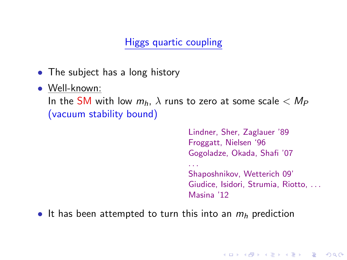# Higgs quartic coupling

- The subject has a long history
- Well-known:

In the SM with low  $m_h$ ,  $\lambda$  runs to zero at some scale  $< M_P$ (vacuum stability bound)

. . .

Lindner, Sher, Zaglauer '89 Froggatt, Nielsen '96 Gogoladze, Okada, Shafi '07

Shaposhnikov, Wetterich 09' Giudice, Isidori, Strumia, Riotto, . . . Masina '12

**KORK ERKER ADE YOUR** 

• It has been attempted to turn this into an  $m_h$  prediction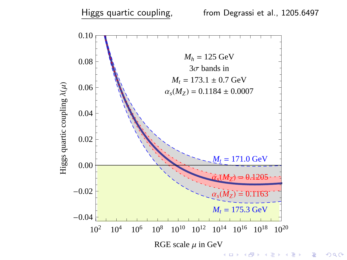

 $299$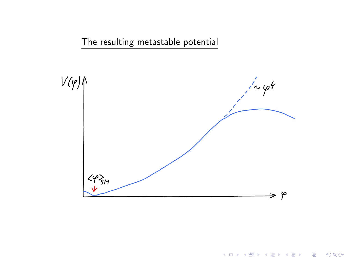The resulting metastable potential



イロト イ御 トイミト イミト ニミー りんぴ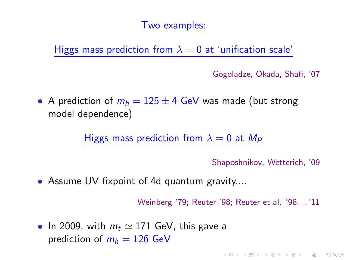#### Two examples:

Higgs mass prediction from  $\lambda = 0$  at 'unification scale'

Gogoladze, Okada, Shafi, '07

• A prediction of  $m_h = 125 \pm 4$  GeV was made (but strong model dependence)

Higgs mass prediction from  $\lambda = 0$  at  $M_P$ 

Shaposhnikov, Wetterich, '09

**K ロ ▶ K @ ▶ K 할 X X 할 X 및 할 X X Q Q O** 

• Assume UV fixpoint of 4d quantum gravity....

Weinberg '79; Reuter '98; Reuter et al. '98. . . '11

• In 2009, with  $m_t \simeq 171$  GeV, this gave a prediction of  $m_h = 126$  GeV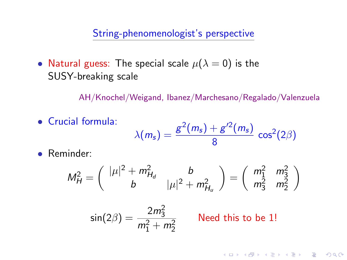String-phenomenologist's perspective

• Natural guess: The special scale  $\mu(\lambda = 0)$  is the SUSY-breaking scale

AH/Knochel/Weigand, Ibanez/Marchesano/Regalado/Valenzuela

- Crucial formula:  $\lambda(m_s) = \frac{g^2(m_s) + g'^2(m_s)}{g}$  $\frac{18}{8}$  (*m<sub>s</sub>*)</sup>  $\cos^2(2\beta)$
- Reminder:

$$
M_H^2 = \left(\begin{array}{cc} |\mu|^2 + m_{H_d}^2 & b \\ b & |\mu|^2 + m_{H_u}^2 \end{array}\right) = \left(\begin{array}{cc} m_1^2 & m_3^2 \\ m_3^2 & m_2^2 \end{array}\right)
$$

 $be$  1!

**KORKAR KERKER E VOOR** 

$$
\sin(2\beta) = \frac{2m_3^2}{m_1^2 + m_2^2}
$$
 Need this to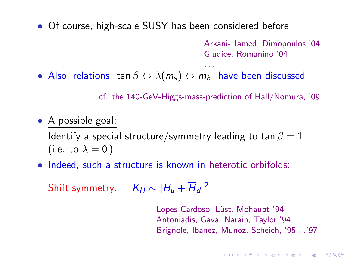• Of course, high-scale SUSY has been considered before

Arkani-Hamed, Dimopoulos '04 Giudice, Romanino '04

• Also, relations tan  $\beta \leftrightarrow \lambda(m_s) \leftrightarrow m_h$  have been discussed

cf. the 140-GeV-Higgs-mass-prediction of Hall/Nomura, '09

. . .

• A possible goal:

Identify a special structure/symmetry leading to tan  $\beta = 1$ (i.e. to  $\lambda = 0$ )

• Indeed, such a structure is known in heterotic orbifolds:

Shift symmetry:

$$
K_H \sim |H_u + \overline{H}_d|^2
$$

Lopes-Cardoso, Lüst, Mohaupt '94 Antoniadis, Gava, Narain, Taylor '94 Brignole, Ibanez, Munoz, Scheich, '95. . .'97

**KORKAR KERKER EL VOLO**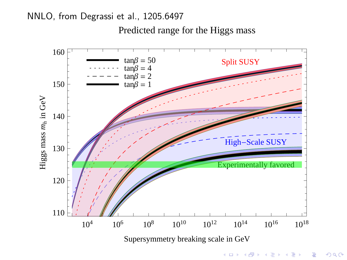NNLO, from Degrassi et al., 1205.6497

Predicted range for the Higgs mass



 $299$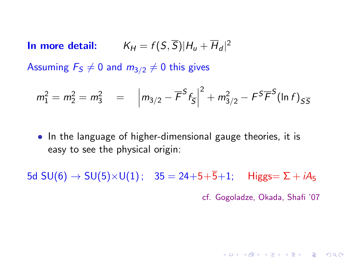In more detail:  $K_H = f(S, \overline{S})|H_u + \overline{H}_d|^2$ 

Assuming  $F_S \neq 0$  and  $m_{3/2} \neq 0$  this gives

$$
m_1^2 = m_2^2 = m_3^2 = |m_{3/2} - \overline{F}^S f_{\overline{S}}|^2 + m_{3/2}^2 - F^S \overline{F}^S (\ln f)_{S\overline{S}}
$$

• In the language of higher-dimensional gauge theories, it is easy to see the physical origin:

5d SU(6) → SU(5)×U(1);  $35 = 24+5+5+1$ ; Higgs= Σ + iA<sub>5</sub> cf. Gogoladze, Okada, Shafi '07

**KORK ERKER ADE YOUR**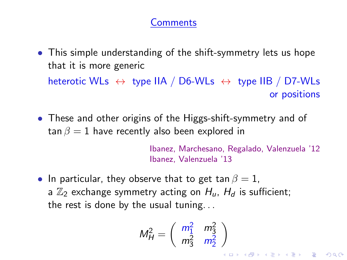### **Comments**

- This simple understanding of the shift-symmetry lets us hope that it is more generic heterotic WLs  $\leftrightarrow$  type IIA / D6-WLs  $\leftrightarrow$  type IIB / D7-WLs or positions
- These and other origins of the Higgs-shift-symmetry and of tan  $\beta = 1$  have recently also been explored in

Ibanez, Marchesano, Regalado, Valenzuela '12 Ibanez, Valenzuela '13

• In particular, they observe that to get tan  $\beta = 1$ . a  $\mathbb{Z}_2$  exchange symmetry acting on  $H_u$ ,  $H_d$  is sufficient; the rest is done by the usual tuning. . .

$$
M_H^2 = \left(\begin{array}{cc} m_1^2 & m_3^2 \\ m_3^2 & m_2^2 \end{array}\right)
$$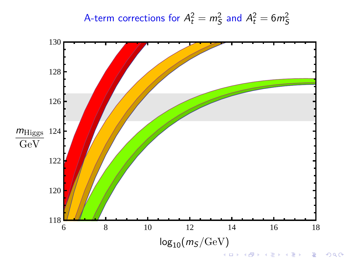A-term corrections for 
$$
A_t^2 = m_S^2
$$
 and  $A_t^2 = 6m_S^2$ 

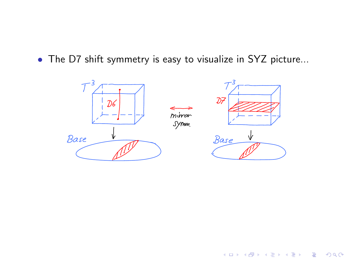• The D7 shift symmetry is easy to visualize in SYZ picture...



イロト 不優 トイ選 トイ選 トー選

 $299$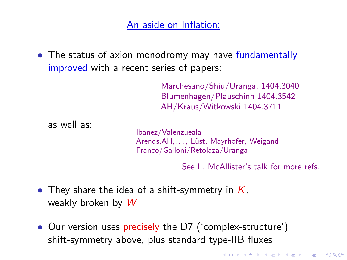## An aside on Inflation:

• The status of axion monodromy may have fundamentally improved with a recent series of papers:

> Marchesano/Shiu/Uranga, 1404.3040 Blumenhagen/Plauschinn 1404.3542 AH/Kraus/Witkowski 1404.3711

as well as:

Ibanez/Valenzueala Arends, AH, . . . , Lüst, Mayrhofer, Weigand Franco/Galloni/Retolaza/Uranga

See L. McAllister's talk for more refs.

- They share the idea of a shift-symmetry in  $K$ , weakly broken by W
- Our version uses precisely the D7 ('complex-structure') shift-symmetry above, plus standard type-IIB fluxes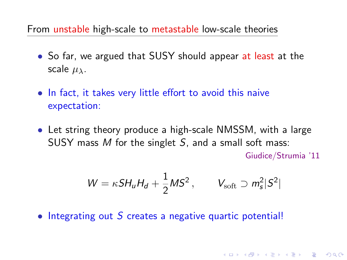From unstable high-scale to metastable low-scale theories

- So far, we argued that SUSY should appear at least at the scale  $\mu_{\lambda}$ .
- In fact, it takes very little effort to avoid this naive expectation:
- Let string theory produce a high-scale NMSSM, with a large SUSY mass  $M$  for the singlet  $S$ , and a small soft mass:

Giudice/Strumia '11

**KORKAR KERKER E VOOR** 

$$
W = \kappa S H_u H_d + \frac{1}{2} M S^2, \qquad V_{\text{soft}} \supset m_s^2 |S^2|
$$

• Integrating out S creates a negative quartic potential!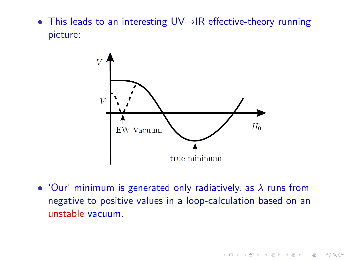• This leads to an interesting UV→IR effective-theory running picture:



• 'Our' minimum is generated only radiatively, as  $\lambda$  runs from negative to positive values in a loop-calculation based on an unstable vacuum.

K ロ ▶ K @ ▶ K 할 > K 할 > 1 할 > 1 이익어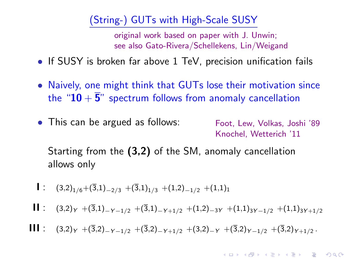## (String-) GUTs with High-Scale SUSY

original work based on paper with J. Unwin; see also Gato-Rivera/Schellekens, Lin/Weigand

- If SUSY is broken far above 1 TeV, precision unification fails
- Naively, one might think that GUTs lose their motivation since the " $10 + \overline{5}$ " spectrum follows from anomaly cancellation
- This can be argued as follows: Foot, Lew, Volkas, Joshi '89 Knochel, Wetterich '11

Starting from the (3,2) of the SM, anomaly cancellation allows only

- $\mathbf{I}$  :  $(3,2)_{1/6}$  +  $(\overline{3},1)_{-2/3}$  +  $(\overline{3},1)_{1/3}$  +  $(1,2)_{-1/2}$  +  $(1,1)_{1}$
- II : (3,2)γ +(3,1)<sub>−Y−1/2</sub> +(3,1)<sub>−Y+1/2</sub> +(1,2)<sub>−3Y</sub> +(1,1)<sub>3Y−1/2</sub> +(1,1)<sub>3Y+1/2</sub>
- **III** :  $(3,2)_Y$  +(3,2)<sub>-Y-1/2</sub> +(3,2)<sub>-Y+1/2</sub> +(3,2)<sub>-Y</sub> +(3,2)<sub>Y-1/2</sub> +(3,2)<sub>Y+1/2</sub>.

**KORKAR KERKER EL VOLO**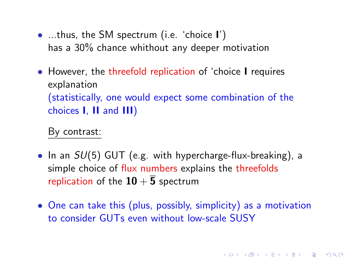- ...thus, the SM spectrum (i.e. 'choice I') has a 30% chance whithout any deeper motivation
- However, the threefold replication of 'choice I requires explanation (statistically, one would expect some combination of the choices I, II and III)

By contrast:

- In an  $SU(5)$  GUT (e.g. with hypercharge-flux-breaking), a simple choice of flux numbers explains the threefolds replication of the  $10 + \overline{5}$  spectrum
- One can take this (plus, possibly, simplicity) as a motivation to consider GUTs even without low-scale SUSY

**KORK (FRAGE) EL POLO**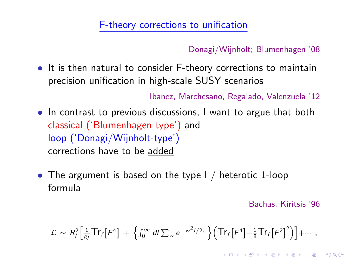#### F-theory corrections to unification

Donagi/Wijnholt; Blumenhagen '08

• It is then natural to consider F-theory corrections to maintain precision unification in high-scale SUSY scenarios

Ibanez, Marchesano, Regalado, Valenzuela '12

- In contrast to previous discussions, I want to argue that both classical ('Blumenhagen type') and loop ('Donagi/Wijnholt-type') corrections have to be added
- The argument is based on the type I / heterotic 1-loop formula

Bachas, Kiritsis '96

**KORKAR KERKER E VOOR** 

$$
\mathcal{L} \sim R_I^2 \Big[ \tfrac{1}{\mathcal{E}_I} \mathsf{Tr}_f \big[ F^4 \big] + \Big\{ \int_0^\infty dI \sum_w e^{-w^2 I/2\pi} \Big\} \Big( \mathsf{Tr}_f \big[ F^4 \big] + \tfrac{1}{8} \mathsf{Tr}_f \big[ F^2 \big]^2 \Big) \Big] + \cdots,
$$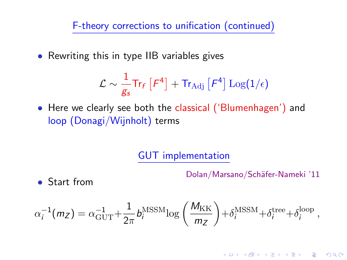F-theory corrections to unification (continued)

• Rewriting this in type IIB variables gives

$$
\mathcal{L} \sim \frac{1}{g_s} \mathsf{Tr}_f \left[ F^4 \right] + \mathsf{Tr}_{\text{Adj}} \left[ F^4 \right] \text{Log}(1/\epsilon)
$$

• Here we clearly see both the classical ('Blumenhagen') and loop (Donagi/Wijnholt) terms

## GUT implementation

Dolan/Marsano/Schäfer-Nameki '11

• Start from

$$
\alpha_i^{-1}(m_Z) = \alpha_{\rm GUT}^{-1} + \frac{1}{2\pi} b_i^{\rm MSSM} \log\left(\frac{M_{\rm KK}}{m_Z}\right) + \delta_i^{\rm MSSM} + \delta_i^{\rm tree} + \delta_i^{\rm loop},
$$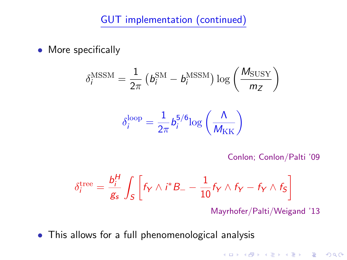## GUT implementation (continued)

• More specifically

$$
\delta_i^{\text{MSSM}} = \frac{1}{2\pi} \left( b_i^{\text{SM}} - b_i^{\text{MSSM}} \right) \log \left( \frac{M_{\text{SUSY}}}{m_Z} \right)
$$

$$
\delta_i^{\text{loop}} = \frac{1}{2\pi} b_i^{\text{5/6}} \log \left( \frac{\Lambda}{M_{\text{KK}}} \right)
$$

Conlon; Conlon/Palti '09

$$
\delta_i^{\text{tree}} = \frac{b_i^H}{g_s} \int_S \left[ f_Y \wedge i^* B_- - \frac{1}{10} f_Y \wedge f_Y - f_Y \wedge f_S \right]
$$

Mayrhofer/Palti/Weigand '13

• This allows for a full phenomenological analysis

**K ロ ▶ K @ ▶ K 할 X X 할 X 및 할 X X Q Q O**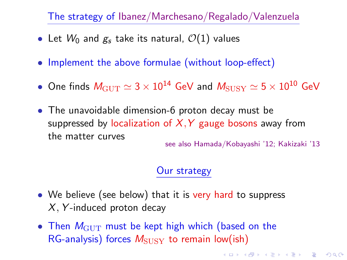The strategy of Ibanez/Marchesano/Regalado/Valenzuela

- Let  $W_0$  and  $g_s$  take its natural,  $\mathcal{O}(1)$  values
- Implement the above formulae (without loop-effect)
- One finds  $M_{\rm GUT} \simeq 3 \times 10^{14}$  GeV and  $M_{\rm SUSY} \simeq 5 \times 10^{10}$  GeV
- The unavoidable dimension-6 proton decay must be suppressed by localization of  $X, Y$  gauge bosons away from the matter curves see also Hamada/Kobayashi '12; Kakizaki '13

## Our strategy

**K ロ ▶ K @ ▶ K 할 X X 할 X 및 할 X X Q Q O** 

- We believe (see below) that it is very hard to suppress  $X$ , Y-induced proton decay
- Then  $M_{\text{GUT}}$  must be kept high which (based on the RG-analysis) forces  $M_{\text{SUSY}}$  to remain low(ish)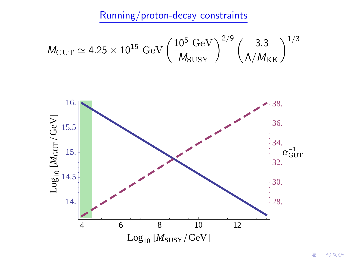Running/proton-decay constraints

$$
\rm \textit{M}_{GUT}\simeq 4.25\times 10^{15}~GeV \left(\frac{10^5~GeV}{\textit{M}_{SUSY}}\right)^{2/9} \left(\frac{3.3}{\Lambda/M_{KK}}\right)^{1/3}
$$

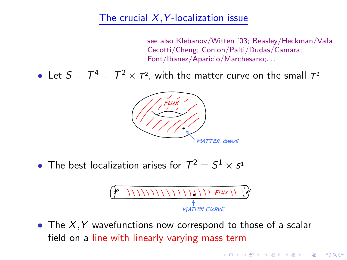#### The crucial  $X, Y$ -localization issue

see also Klebanov/Witten '03; Beasley/Heckman/Vafa Cecotti/Cheng; Conlon/Palti/Dudas/Camara; Font/Ibanez/Aparicio/Marchesano;. . .

**KORK ERKER ADE YOUR** 

• Let  $S = T^4 = T^2 \times T^2$ , with the matter curve on the small  $T^2$ 



• The best localization arises for  $\mathcal{T}^2 = \mathcal{S}^1 \times \mathcal{S}^1$ 

• The  $X, Y$  wavefunctions now correspond to those of a scalar field on a line with linearly varying mass term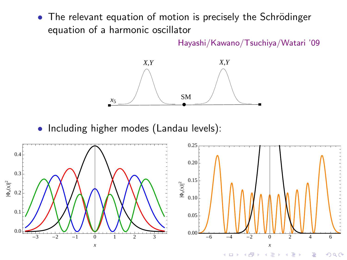• The relevant equation of motion is precisely the Schrödinger equation of a harmonic oscillator

Hayashi/Kawano/Tsuchiya/Watari '09



• Including higher modes (Landau levels):

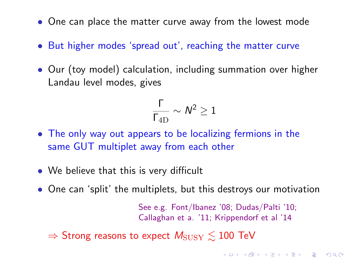- One can place the matter curve away from the lowest mode
- But higher modes 'spread out', reaching the matter curve
- Our (toy model) calculation, including summation over higher Landau level modes, gives

$$
\frac{\Gamma}{\Gamma_{\rm 4D}}\sim \textit{N}^2\geq 1
$$

- The only way out appears to be localizing fermions in the same GUT multiplet away from each other
- We believe that this is very difficult
- One can 'split' the multiplets, but this destroys our motivation

See e.g. Font/Ibanez '08; Dudas/Palti '10; Callaghan et a. '11; Krippendorf et al '14

KID KA KERKER KID KO

 $\Rightarrow$  Strong reasons to expect  $M_{\text{SUSY}} \leq 100$  TeV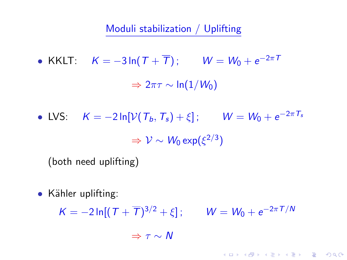Moduli stabilization / Uplifting

• KKLT:  $K = -3 \ln(T + \overline{T}); \qquad W = W_0 + e^{-2\pi T}$  $\Rightarrow$  2πτ ~ ln(1/W<sub>0</sub>)

• LVS:  $K = -2 \ln[\mathcal{V}(\mathcal{T}_b, \mathcal{T}_s) + \xi]$ ;  $W = W_0 + e^{-2\pi \mathcal{T}_s}$  $\Rightarrow$   ${\cal V} \sim W_0 \exp(\xi^{2/3})$ 

(both need uplifting)

 $\bullet$  Kähler uplifting:

 $K = -2 \ln[(T + \overline{T})^{3/2} + \xi]; \qquad W = W_0 + e^{-2\pi T/N}$ 

**KORK ERKER ADE YOUR** 

 $\Rightarrow \tau \sim N$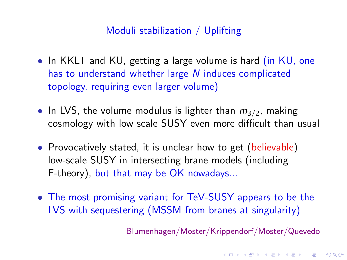### Moduli stabilization / Uplifting

- In KKLT and KU, getting a large volume is hard (in KU, one has to understand whether large N induces complicated topology, requiring even larger volume)
- $\bullet\,$  In LVS, the volume modulus is lighter than  $m_{3/2}$ , making cosmology with low scale SUSY even more difficult than usual
- Provocatively stated, it is unclear how to get (believable) low-scale SUSY in intersecting brane models (including F-theory), but that may be OK nowadays...
- The most promising variant for TeV-SUSY appears to be the LVS with sequestering (MSSM from branes at singularity)

Blumenhagen/Moster/Krippendorf/Moster/Quevedo

4 D > 4 P + 4 B + 4 B + B + 9 Q O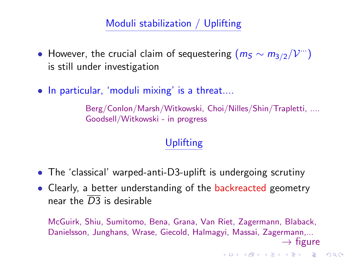# Moduli stabilization / Uplifting

- However, the crucial claim of sequestering  $(m_S \sim m_{3/2}/\mathcal{V}^{\cdots})$ is still under investigation
- In particular, 'moduli mixing' is a threat....

Berg/Conlon/Marsh/Witkowski, Choi/Nilles/Shin/Trapletti, .... Goodsell/Witkowski - in progress

# Uplifting

- The 'classical' warped-anti-D3-uplift is undergoing scrutiny
- Clearly, a better understanding of the backreacted geometry near the  $\overline{D3}$  is desirable

McGuirk, Shiu, Sumitomo, Bena, Grana, Van Riet, Zagermann, Blaback, Danielsson, Junghans, Wrase, Giecold, Halmagyi, Massai, Zagermann,...

 $\rightarrow$  figure

K ロ ▶ K @ ▶ K 할 > K 할 > 1 할 > 1 이익어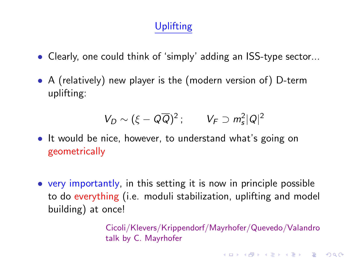# Uplifting

- Clearly, one could think of 'simply' adding an ISS-type sector...
- A (relatively) new player is the (modern version of) D-term uplifting:

$$
V_D \sim (\xi - Q\overline{Q})^2 \, ; \qquad V_F \supset m_s^2 |Q|^2
$$

- It would be nice, however, to understand what's going on geometrically
- very importantly, in this setting it is now in principle possible to do everything (i.e. moduli stabilization, uplifting and model building) at once!

Cicoli/Klevers/Krippendorf/Mayrhofer/Quevedo/Valandro talk by C. Mayrhofer

**K ロ ▶ K @ ▶ K 할 X X 할 X 및 할 X X Q Q O**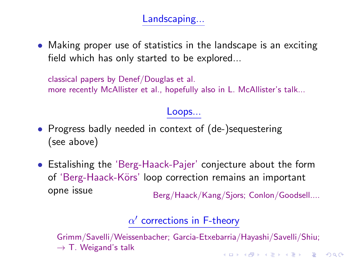Landscaping...

• Making proper use of statistics in the landscape is an exciting field which has only started to be explored...

classical papers by Denef/Douglas et al. more recently McAllister et al., hopefully also in L. McAllister's talk...

#### Loops...

- Progress badly needed in context of (de-)sequestering (see above)
- Estalishing the 'Berg-Haack-Pajer' conjecture about the form of 'Berg-Haack-Körs' loop correction remains an important opne issue<br>Berg/Haack/Kang/Sjors; Conlon/Goodsell....

# $\alpha'$  corrections in F-theory

Grimm/Savelli/Weissenbacher; Garcia-Etxebarria/Hayashi/Savelli/Shiu;  $\rightarrow$  T. Weigand's talk 4 D > 4 P + 4 B + 4 B + B + 9 Q O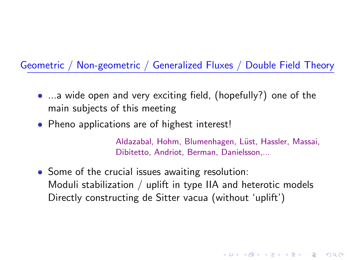#### Geometric / Non-geometric / Generalized Fluxes / Double Field Theory

- ...a wide open and very exciting field, (hopefully?) one of the main subjects of this meeting
- Pheno applications are of highest interest!

Aldazabal, Hohm, Blumenhagen, Lüst, Hassler, Massai, Dibitetto, Andriot, Berman, Danielsson,...

**KORKAR KERKER EL VOLO** 

<span id="page-41-0"></span>• Some of the crucial issues awaiting resolution: Moduli stabilization / uplift in type IIA and heterotic models Directly constructing de Sitter vacua (without 'uplift')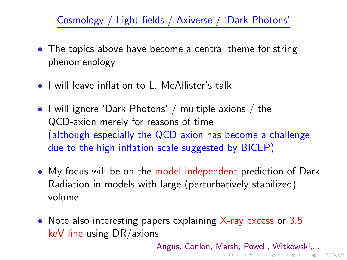## Cosmology / Light fields / Axiverse / 'Dark Photons'

- The topics above have become a central theme for string phenomenology
- I will leave inflation to L. McAllister's talk
- I will ignore 'Dark Photons' / multiple axions / the QCD-axion merely for reasons of time (although especially the QCD axion has become a challenge due to the high inflation scale suggested by BICEP)
- My focus will be on the model independent prediction of Dark Radiation in models with large (perturbatively stabilized) volume
- <span id="page-42-0"></span>• Note also interesting papers explaining X-ray excess or 3.5 keV line using DR/axions

Angus, Conlon, [Mar](#page-41-0)s[h,](#page-43-0) [P](#page-41-0)[ow](#page-42-0)[e](#page-43-0)[ll,](#page-0-0) [Wi](#page-50-0)[tko](#page-0-0)[ws](#page-50-0)[ki,](#page-0-0)[...](#page-50-0)<br>Sand All Allen Allen Allen Allen Allen Range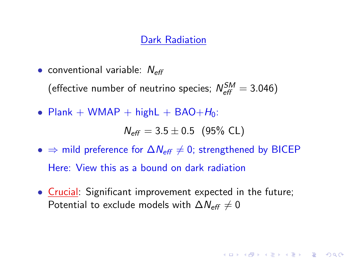## Dark Radiation

• conventional variable:  $N_{\text{eff}}$ 

(effective number of neutrino species;  $N_{\text{eff}}^{SM} = 3.046$ )

• Plank + WMAP + highL + BAO+ $H_0$ :

$$
\textit{N}_{\textit{eff}} = 3.5 \pm 0.5 \ (95\%\ \text{CL})
$$

**KORKAR KERKER EL VOLO** 

- $\Rightarrow$  mild preference for  $\Delta N_{\text{eff}} \neq 0$ ; strengthened by BICEP Here: View this as a bound on dark radiation
- <span id="page-43-0"></span>• Crucial: Significant improvement expected in the future; Potential to exclude models with  $\Delta N_{\text{eff}} \neq 0$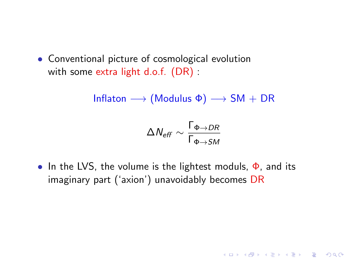• Conventional picture of cosmological evolution with some extra light d.o.f. (DR) :

Inflaton  $\longrightarrow$  (Modulus  $\Phi$ )  $\longrightarrow$  SM + DR

$$
\Delta N_{\text{eff}} \sim \frac{\Gamma_{\Phi \rightarrow DR}}{\Gamma_{\Phi \rightarrow SM}}
$$

• In the LVS, the volume is the lightest moduls,  $\Phi$ , and its imaginary part ('axion') unavoidably becomes DR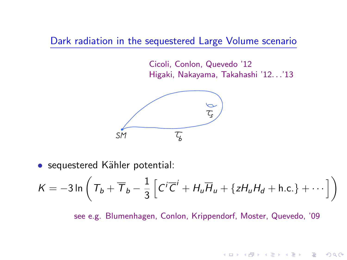Dark radiation in the sequestered Large Volume scenario

Cicoli, Conlon, Quevedo '12 Higaki, Nakayama, Takahashi '12. . .'13



• sequestered Kähler potential:

$$
K = -3\ln\left(T_b + \overline{T}_b - \frac{1}{3}\left[C^i\overline{C}^i + H_u\overline{H}_u + \{zH_uH_d + \text{h.c.}\} + \cdots\right]\right)
$$

see e.g. Blumenhagen, Conlon, Krippendorf, Moster, Quevedo, '09

**KORK EX KEY CRACK**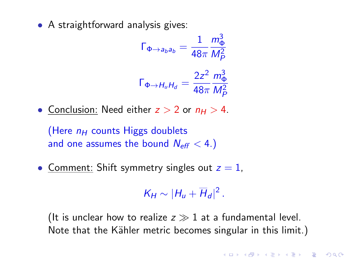• A straightforward analysis gives:

$$
\Gamma_{\Phi \to a_b a_b} = \frac{1}{48\pi} \frac{m_\Phi^3}{M_P^2}
$$

$$
\Gamma_{\Phi \to H_u H_d} = \frac{2z^2}{48\pi} \frac{m_\Phi^3}{M_P^2}
$$

• Conclusion: Need either  $z > 2$  or  $n_H > 4$ .

(Here  $n_H$  counts Higgs doublets and one assumes the bound  $N_{\text{eff}} < 4$ .)

• Comment: Shift symmetry singles out  $z = 1$ ,

 $K_H \sim |H_u + \overline{H}_d|^2$ .

(It is unclear how to realize  $z \gg 1$  at a fundamental level. Note that the Kähler metric becomes singular in this limit.)

**KORKAR KERKER EL VOLO**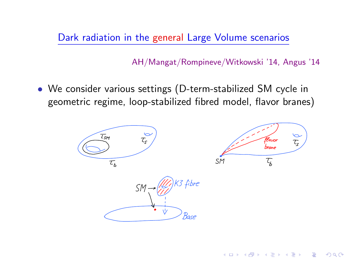Dark radiation in the general Large Volume scenarios

AH/Mangat/Rompineve/Witkowski '14, Angus '14

**KORK STRAIN A BAR SHOP** 

• We consider various settings (D-term-stabilized SM cycle in geometric regime, loop-stabilized fibred model, flavor branes)

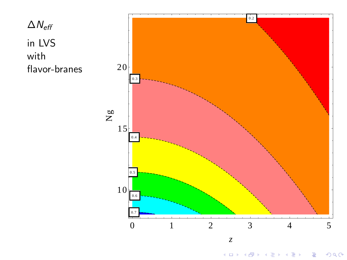



 $2Q$  $\equiv$ È **K ロ ⊁ K 個 ⊁ K 差 ⊁**  $\sim$  4  $\,$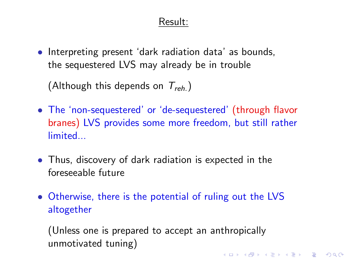#### Result:

• Interpreting present 'dark radiation data' as bounds, the sequestered LVS may already be in trouble

(Although this depends on  $T_{reh.}$ )

- The 'non-sequestered' or 'de-sequestered' (through flavor branes) LVS provides some more freedom, but still rather limited...
- Thus, discovery of dark radiation is expected in the foreseeable future
- Otherwise, there is the potential of ruling out the LVS altogether

(Unless one is prepared to accept an anthropically unmotivated tuning)KID KA KERKER KID KO